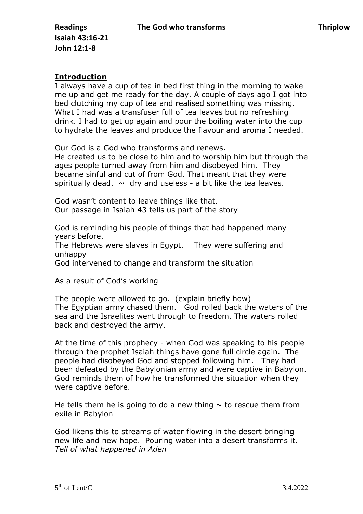**Isaiah 43:16-21 John 12:1-8**

## **Introduction**

I always have a cup of tea in bed first thing in the morning to wake me up and get me ready for the day. A couple of days ago I got into bed clutching my cup of tea and realised something was missing. What I had was a transfuser full of tea leaves but no refreshing drink. I had to get up again and pour the boiling water into the cup to hydrate the leaves and produce the flavour and aroma I needed.

Our God is a God who transforms and renews.

He created us to be close to him and to worship him but through the ages people turned away from him and disobeyed him. They became sinful and cut of from God. That meant that they were spiritually dead.  $\sim$  dry and useless - a bit like the tea leaves.

God wasn't content to leave things like that. Our passage in Isaiah 43 tells us part of the story

God is reminding his people of things that had happened many years before.

The Hebrews were slaves in Egypt. They were suffering and unhappy

God intervened to change and transform the situation

As a result of God's working

The people were allowed to go. (explain briefly how) The Egyptian army chased them. God rolled back the waters of the sea and the Israelites went through to freedom. The waters rolled back and destroyed the army.

At the time of this prophecy - when God was speaking to his people through the prophet Isaiah things have gone full circle again. The people had disobeyed God and stopped following him. They had been defeated by the Babylonian army and were captive in Babylon. God reminds them of how he transformed the situation when they were captive before.

He tells them he is going to do a new thing  $\sim$  to rescue them from exile in Babylon

God likens this to streams of water flowing in the desert bringing new life and new hope. Pouring water into a desert transforms it. *Tell of what happened in Aden*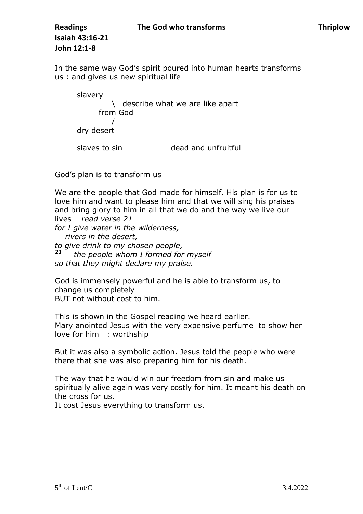**Isaiah 43:16-21 John 12:1-8**

In the same way God's spirit poured into human hearts transforms us : and gives us new spiritual life

slavery \ describe what we are like apart from God / dry desert

slaves to sin dead and unfruitful

God's plan is to transform us

We are the people that God made for himself. His plan is for us to love him and want to please him and that we will sing his praises and bring glory to him in all that we do and the way we live our lives *read verse 21 for I give water in the wilderness, rivers in the desert, to give drink to my chosen people, 21 the people whom I formed for myself so that they might declare my praise.*

God is immensely powerful and he is able to transform us, to change us completely BUT not without cost to him.

This is shown in the Gospel reading we heard earlier. Mary anointed Jesus with the very expensive perfume to show her love for him : worthship

But it was also a symbolic action. Jesus told the people who were there that she was also preparing him for his death.

The way that he would win our freedom from sin and make us spiritually alive again was very costly for him. It meant his death on the cross for us.

It cost Jesus everything to transform us.